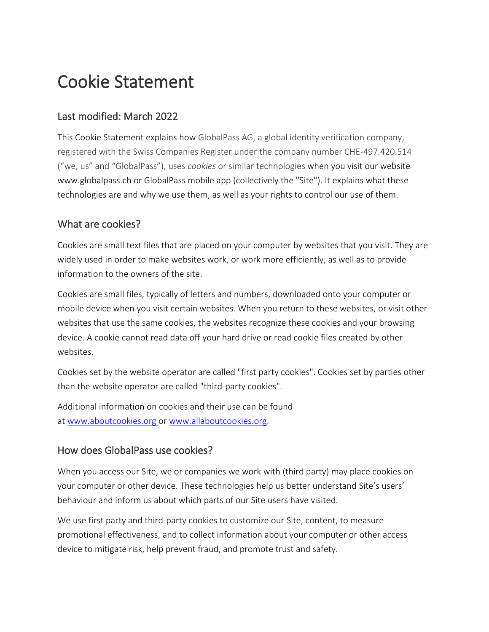# Cookie Statement

# Last modified: March 2022

This Cookie Statement explains how GlobalPass AG, a global identity verification company, registered with the Swiss Companies Register under the company number CHE-497.420.514 ("we, us" and "GlobalPass"), uses *cookies* or similar technologies when you visit our website www.globalpass.ch or GlobalPass mobile app (collectively the "Site"). It explains what these technologies are and why we use them, as well as your rights to control our use of them.

# What are cookies?

Cookies are small text files that are placed on your computer by websites that you visit. They are widely used in order to make websites work, or work more efficiently, as well as to provide information to the owners of the site.

Cookies are small files, typically of letters and numbers, downloaded onto your computer or mobile device when you visit certain websites. When you return to these websites, or visit other websites that use the same cookies, the websites recognize these cookies and your browsing device. A cookie cannot read data off your hard drive or read cookie files created by other websites.

Cookies set by the website operator are called "first party cookies". Cookies set by parties other than the website operator are called "third-party cookies".

Additional information on cookies and their use can be found at [www.aboutcookies.org](http://www.aboutcookies.org/) or [www.allaboutcookies.org.](http://www.allaboutcookies.org/)

## How does GlobalPass use cookies?

When you access our Site, we or companies we work with (third party) may place cookies on your computer or other device. These technologies help us better understand Site's users' behaviour and inform us about which parts of our Site users have visited.

We use first party and third-party cookies to customize our Site, content, to measure promotional effectiveness, and to collect information about your computer or other access device to mitigate risk, help prevent fraud, and promote trust and safety.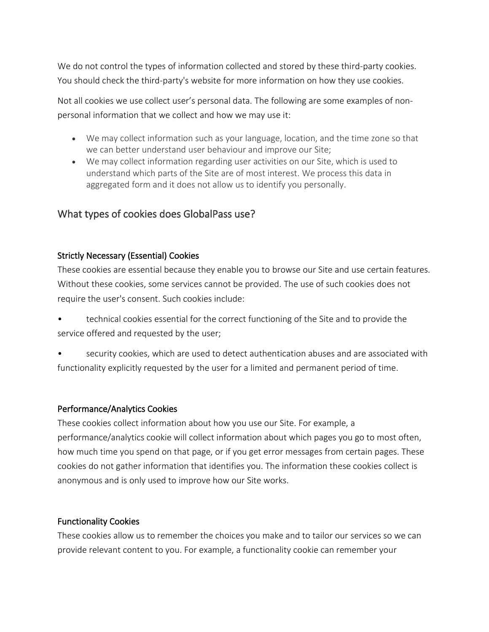We do not control the types of information collected and stored by these third-party cookies. You should check the third-party's website for more information on how they use cookies.

Not all cookies we use collect user's personal data. The following are some examples of nonpersonal information that we collect and how we may use it:

- We may collect information such as your language, location, and the time zone so that we can better understand user behaviour and improve our Site;
- We may collect information regarding user activities on our Site, which is used to understand which parts of the Site are of most interest. We process this data in aggregated form and it does not allow us to identify you personally.

# What types of cookies does GlobalPass use?

#### Strictly Necessary (Essential) Cookies

These cookies are essential because they enable you to browse our Site and use certain features. Without these cookies, some services cannot be provided. The use of such cookies does not require the user's consent. Such cookies include:

- technical cookies essential for the correct functioning of the Site and to provide the service offered and requested by the user;
- security cookies, which are used to detect authentication abuses and are associated with functionality explicitly requested by the user for a limited and permanent period of time.

#### Performance/Analytics Cookies

These cookies collect information about how you use our Site. For example, a performance/analytics cookie will collect information about which pages you go to most often, how much time you spend on that page, or if you get error messages from certain pages. These cookies do not gather information that identifies you. The information these cookies collect is anonymous and is only used to improve how our Site works.

## Functionality Cookies

These cookies allow us to remember the choices you make and to tailor our services so we can provide relevant content to you. For example, a functionality cookie can remember your